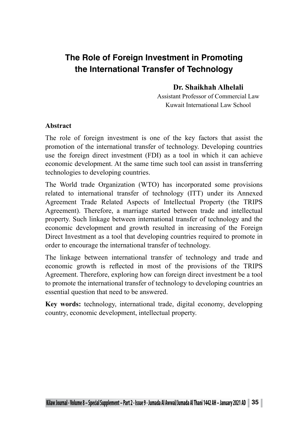# **The Role of Foreign Investment in Promoting the International Transfer of Technology**

## **Dr. Shaikhah Alhelali**

Assistant Professor of Commercial Law Kuwait International Law School

#### **Abstract**

The role of foreign investment is one of the key factors that assist the promotion of the international transfer of technology. Developing countries use the foreign direct investment (FDI) as a tool in which it can achieve economic development. At the same time such tool can assist in transferring technologies to developing countries.

The World trade Organization (WTO) has incorporated some provisions related to international transfer of technology (ITT) under its Annexed Agreement Trade Related Aspects of Intellectual Property (the TRIPS Agreement). Therefore, a marriage started between trade and intellectual property. Such linkage between international transfer of technology and the economic development and growth resulted in increasing of the Foreign Direct Investment as a tool that developing countries required to promote in order to encourage the international transfer of technology.

The linkage between international transfer of technology and trade and economic growth is reflected in most of the provisions of the TRIPS Agreement. Therefore, exploring how can foreign direct investment be a tool to promote the international transfer of technology to developing countries an essential question that need to be answered.

**Key words:** technology, international trade, digital economy, developping country, economic development, intellectual property.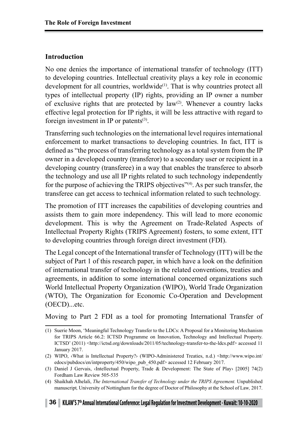## **Introduction**

No one denies the importance of international transfer of technology (ITT) to developing countries. Intellectual creativity plays a key role in economic development for all countries, worldwide<sup>(1)</sup>. That is why countries protect all types of intellectual property (IP) rights, providing an IP owner a number of exclusive rights that are protected by  $law^{(2)}$ . Whenever a country lacks effective legal protection for IP rights, it will be less attractive with regard to foreign investment in IP or patents $(3)$ .

Transferring such technologies on the international level requires international enforcement to market transactions to developing countries. In fact, ITT is defined as "the process of transferring technology as a total system from the IP owner in a developed country (transferor) to a secondary user or recipient in a developing country (transferee) in a way that enables the transferee to absorb the technology and use all IP rights related to such technology independently for the purpose of achieving the TRIPS objectives<sup>"(4)</sup>. As per such transfer, the transferee can get access to technical information related to such technology.

The promotion of ITT increases the capabilities of developing countries and assists them to gain more independency. This will lead to more economic development. This is why the Agreement on Trade-Related Aspects of Intellectual Property Rights (TRIPS Agreement) fosters, to some extent, ITT to developing countries through foreign direct investment (FDI).

The Legal concept of the International transfer of Technology (ITT) will be the subject of Part 1 of this research paper, in which have a look on the definition of international transfer of technology in the related conventions, treaties and agreements, in addition to some international concerned organizations such World Intellectual Property Organization (WIPO), World Trade Organization (WTO), The Organization for Economic Co-Operation and Development (OECD)...etc.

Moving to Part 2 FDI as a tool for promoting International Transfer of

<sup>(1)</sup> Suerie Moon, 'Meaningful Technology Transfer to the LDCs: A Proposal for a Monitoring Mechanism for TRIPS Article 66.2: ICTSD Programme on Innovation, Technology and Intellectual Property. ICTSD' (2011) <http://ictsd.org/downloads/2011/05/technology-transfer-to-the-ldcs.pdf> accessed 11 January 2017.

<sup>(2)</sup> WIPO, ‹What is Intellectual Property?› (WIPO-Administered Treaties, n.d.) <http://www.wipo.int/ edocs/pubdocs/en/intproperty/450/wipo\_pub\_450.pdf> accessed 12 February 2017.

<sup>(3)</sup> Daniel J Gervais, ‹Intellectual Property, Trade & Development: The State of Play› [2005] 74(2) Fordham Law Review 505-535

<sup>(4)</sup> Shaikhah Alhelali, *The International Transfer of Technology under the TRIPS Agreement.* Unpublished manuscript*,* University of Nottingham for the degree of Doctor of Philosophy at the School of Law*,* 2017.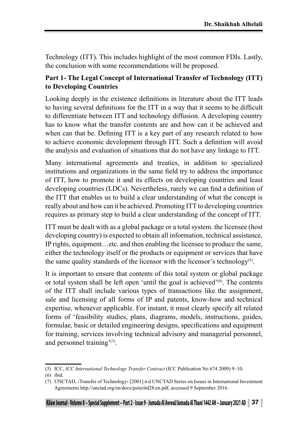Technology (ITT). This includes highlight of the most common FDIs. Lastly, the conclusion with some recommendations will be proposed.

## **Part 1- The Legal Concept of International Transfer of Technology (ITT) to Developing Countries**

Looking deeply in the existence definitions in literature about the ITT leads to having several definitions for the ITT in a way that it seems to be difficult to differentiate between ITT and technology diffusion. A developing country has to know what the transfer contents are and how can it be achieved and when can that be. Defining ITT is a key part of any research related to how to achieve economic development through ITT. Such a definition will avoid the analysis and evaluation of situations that do not have any linkage to ITT.

Many international agreements and treaties, in addition to specialized institutions and organizations in the same field try to address the importance of ITT, how to promote it and its effects on developing countries and least developing countries (LDCs). Nevertheless, rarely we can find a definition of the ITT that enables us to build a clear understanding of what the concept is really about and how can it be achieved. Promoting ITT to developing countries requires as primary step to build a clear understanding of the concept of ITT.

ITT must be dealt with as a global package or a total system. the licensee (host developing country) is expected to obtain all information, technical assistance, IP rights, equipment…etc. and then enabling the licensee to produce the same, either the technology itself or the products or equipment or services that have the same quality standards of the licensor with the licensor's technology<sup>(5)</sup>.

It is important to ensure that contents of this total system or global package or total system shall be left open 'until the goal is achieved'(6). The contents of the ITT shall include various types of transactions like the assignment, sale and licensing of all forms of IP and patents, know-how and technical expertise, whenever applicable. For instant, it must clearly specify all related forms of 'feasibility studies, plans, diagrams, models, instructions, guides, formulae, basic or detailed engineering designs, specifications and equipment for training, services involving technical advisory and managerial personnel, and personnel training'(7).

<sup>(5)</sup> ICC, *ICC International Technology Transfer Contract* (ICC Publication No 674 2009) 9–10.

<sup>(6)</sup> ibid.

<sup>(7)</sup> UNCTAD, ‹Transfer of Technology› [2001] n.d UNCTAD Series on Issues in International Investment Agreements http://unctad.org/en/docs/psiteiitd28.en.pdf, accessed 9 September 2016.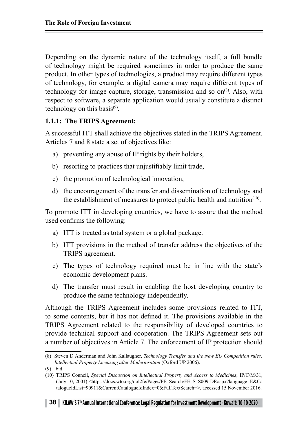Depending on the dynamic nature of the technology itself, a full bundle of technology might be required sometimes in order to produce the same product. In other types of technologies, a product may require different types of technology, for example, a digital camera may require different types of technology for image capture, storage, transmission and so  $\text{on}^{(8)}$ . Also, with respect to software, a separate application would usually constitute a distinct technology on this basis<sup>(9)</sup>.

#### **1.1.1: The TRIPS Agreement:**

A successful ITT shall achieve the objectives stated in the TRIPS Agreement. Articles 7 and 8 state a set of objectives like:

- a) preventing any abuse of IP rights by their holders,
- b) resorting to practices that unjustifiably limit trade,
- c) the promotion of technological innovation,
- d) the encouragement of the transfer and dissemination of technology and the establishment of measures to protect public health and nutrition $(10)$ .

To promote ITT in developing countries, we have to assure that the method used confirms the following:

- a) ITT is treated as total system or a global package.
- b) ITT provisions in the method of transfer address the objectives of the TRIPS agreement.
- c) The types of technology required must be in line with the state's economic development plans.
- d) The transfer must result in enabling the host developing country to produce the same technology independently.

Although the TRIPS Agreement includes some provisions related to ITT, to some contents, but it has not defined it. The provisions available in the TRIPS Agreement related to the responsibility of developed countries to provide technical support and cooperation. The TRIPS Agreement sets out a number of objectives in Article 7. The enforcement of IP protection should

<sup>(8)</sup> Steven D Anderman and John Kallaugher, *Technology Transfer and the New EU Competition rules: Intellectual Property Licensing after Modernisation* (Oxford UP 2006).

<sup>(9)</sup> ibid.

<sup>(10)</sup> TRIPS Council, *Special Discussion on Intellectual Property and Access to Medicines*, IP/C/M/31, (July 10, 2001) <https://docs.wto.org/dol2fe/Pages/FE\_Search/FE\_S\_S009-DP.aspx?language=E&Ca talogueIdList=90911&CurrentCatalogueIdIndex=0&FullTextSearch=>, accessed 15 November 2016.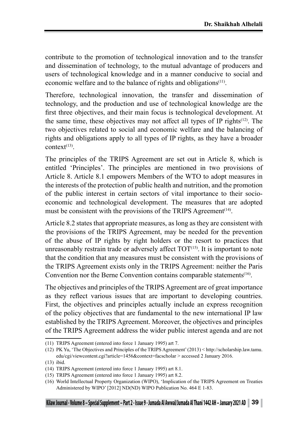contribute to the promotion of technological innovation and to the transfer and dissemination of technology, to the mutual advantage of producers and users of technological knowledge and in a manner conducive to social and economic welfare and to the balance of rights and obligations<sup>(11)</sup>.

Therefore, technological innovation, the transfer and dissemination of technology, and the production and use of technological knowledge are the first three objectives, and their main focus is technological development. At the same time, these objectives may not affect all types of IP rights<sup> $(12)$ </sup>. The two objectives related to social and economic welfare and the balancing of rights and obligations apply to all types of IP rights, as they have a broader context $(13)$ 

The principles of the TRIPS Agreement are set out in Article 8, which is entitled 'Principles'. The principles are mentioned in two provisions of Article 8. Article 8.1 empowers Members of the WTO to adopt measures in the interests of the protection of public health and nutrition, and the promotion of the public interest in certain sectors of vital importance to their socioeconomic and technological development. The measures that are adopted must be consistent with the provisions of the TRIPS Agreement<sup> $(14)$ </sup>.

Article 8.2 states that appropriate measures, as long as they are consistent with the provisions of the TRIPS Agreement, may be needed for the prevention of the abuse of IP rights by right holders or the resort to practices that unreasonably restrain trade or adversely affect  $TOT^{(15)}$ . It is important to note that the condition that any measures must be consistent with the provisions of the TRIPS Agreement exists only in the TRIPS Agreement: neither the Paris Convention nor the Berne Convention contains comparable statements<sup>(16)</sup>.

The objectives and principles of the TRIPS Agreement are of great importance as they reflect various issues that are important to developing countries. First, the objectives and principles actually include an express recognition of the policy objectives that are fundamental to the new international IP law established by the TRIPS Agreement. Moreover, the objectives and principles of the TRIPS Agreement address the wider public interest agenda and are not

<sup>(11)</sup> TRIPS Agreement (entered into force 1 January 1995) art 7.

<sup>(12)</sup> PK Yu, 'The Objectives and Principles of the TRIPS Agreement' (2013) < http://scholarship.law.tamu. edu/cgi/viewcontent.cgi?article=1456&context=facscholar > accessed 2 January 2016.

<sup>(13)</sup> ibid.

<sup>(14)</sup> TRIPS Agreement (entered into force 1 January 1995) art 8.1.

<sup>(15)</sup> TRIPS Agreement (entered into force 1 January 1995) art 8.2.

<sup>(16)</sup> World Intellectual Property Organization (WIPO), 'Implication of the TRIPS Agreement on Treaties Administered by WIPO' [2012] ND(ND) WIPO Publication No. 464 E 1-83.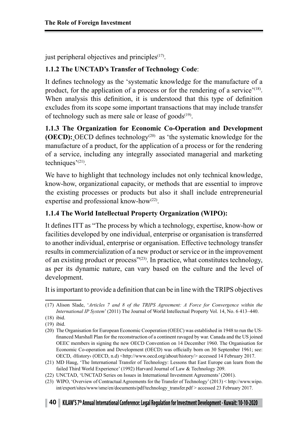just peripheral objectives and principles $(17)$ .

## **1.1.2 The UNCTAD's Transfer of Technology Code**:

It defines technology as the 'systematic knowledge for the manufacture of a product, for the application of a process or for the rendering of a service<sup> $(18)$ </sup>. When analysis this definition, it is understood that this type of definition excludes from its scope some important transactions that may include transfer of technology such as mere sale or lease of goods<sup> $(19)$ </sup>.

**1.1.3 The Organization for Economic Co-Operation and Development (OECD):** OECD defines technology<sup>(20)</sup> as 'the systematic knowledge for the manufacture of a product, for the application of a process or for the rendering of a service, including any integrally associated managerial and marketing techniques'(21).

We have to highlight that technology includes not only technical knowledge, know-how, organizational capacity, or methods that are essential to improve the existing processes or products but also it shall include entrepreneurial expertise and professional know-how(22).

## **1.1.4 The World Intellectual Property Organization (WIPO):**

It defines ITT as "The process by which a technology, expertise, know-how or facilities developed by one individual, enterprise or organisation is transferred to another individual, enterprise or organisation. Effective technology transfer results in commercialization of a new product or service or in the improvement of an existing product or process"(23). In practice, what constitutes technology, as per its dynamic nature, can vary based on the culture and the level of development.

It is important to provide a definition that can be in line with the TRIPS objectives

<sup>(17)</sup> Alison Slade, '*Articles 7 and 8 of the TRIPS Agreement: A Force for Convergence within the International IP System*' (2011) The Journal of World Intellectual Property Vol. 14, No. 6 413–440.

<sup>(18)</sup> ibid.

<sup>(19)</sup> ibid.

<sup>(20)</sup> The Organisation for European Economic Cooperation (OEEC) was established in 1948 to run the USfinanced Marshall Plan for the reconstruction of a continent ravaged by war. Canada and the US joined OEEC members in signing the new OECD Convention on 14 December 1960. The Organisation for Economic Co-operation and Development (OECD) was officially born on 30 September 1961; see: OECD, <br/>  $\langle$  OECD, n.d) <http://www.oecd.org/about/history/> accessed 14 February 2017.

<sup>(21)</sup> MD Haug, 'The International Transfer of Technology: Lessons that East Europe can learn from the failed Third World Experience' (1992) Harvard Journal of Law & Technology 209.

<sup>(22)</sup> UNCTAD, 'UNCTAD Series on Issues in International Investment Agreements' (2001).

<sup>(23)</sup> WIPO, 'Overview of Contractual Agreements for the Transfer of Technology' (2013) < http://www.wipo. int/export/sites/www/sme/en/documents/pdf/technology\_transfer.pdf > accessed 23 February 2017.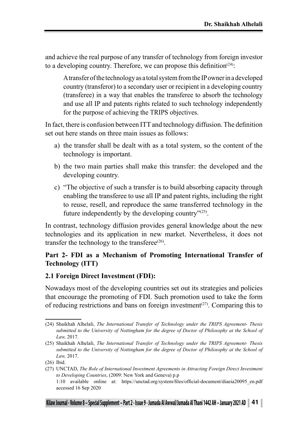and achieve the real purpose of any transfer of technology from foreign investor to a developing country. Therefore, we can propose this definition<sup> $(24)$ </sup>:

A transfer of the technology as a total system from the IP owner in a developed country (transferor) to a secondary user or recipient in a developing country (transferee) in a way that enables the transferee to absorb the technology and use all IP and patents rights related to such technology independently for the purpose of achieving the TRIPS objectives.

In fact, there is confusion between ITT and technology diffusion. The definition set out here stands on three main issues as follows:

- a) the transfer shall be dealt with as a total system, so the content of the technology is important.
- b) the two main parties shall make this transfer: the developed and the developing country.
- c) "The objective of such a transfer is to build absorbing capacity through enabling the transferee to use all IP and patent rights, including the right to reuse, resell, and reproduce the same transferred technology in the future independently by the developing country $\frac{y(25)}{25}$ .

In contrast, technology diffusion provides general knowledge about the new technologies and its application in new market. Nevertheless, it does not transfer the technology to the transferee $(26)$ .

## **Part 2- FDI as a Mechanism of Promoting International Transfer of Technology (ITT)**

#### **2.1 Foreign Direct Investment (FDI):**

Nowadays most of the developing countries set out its strategies and policies that encourage the promoting of FDI. Such promotion used to take the form of reducing restrictions and bans on foreign investment<sup>(27)</sup>. Comparing this to

<sup>(24)</sup> Shaikhah Alhelali, *The International Transfer of Technology under the TRIPS Agreement- Thesis submitted to the University of Nottingham for the degree of Doctor of Philosophy at the School of Law,* 2017.

<sup>(25)</sup> Shaikhah Alhelali, *The International Transfer of Technology under the TRIPS Agreement- Thesis submitted to the University of Nottingham for the degree of Doctor of Philosophy at the School of Law,* 2017.

<sup>(26)</sup> Ibid.

<sup>(27)</sup> UNCTAD, *The Role of International Investment Agreements in Attracting Foreign Direct Investment to Developing Countries*, (2009: New York and Geneva) p.p

<sup>1:10</sup> available online at: https://unctad.org/system/files/official-document/diaeia20095\_en.pdf accessed 16 Sep 2020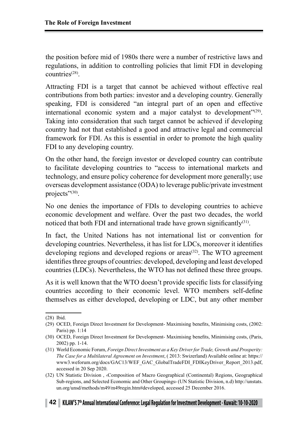the position before mid of 1980s there were a number of restrictive laws and regulations, in addition to controlling policies that limit FDI in developing countries(28).

Attracting FDI is a target that cannot be achieved without effective real contributions from both parties: investor and a developing country. Generally speaking, FDI is considered "an integral part of an open and effective international economic system and a major catalyst to development"<sup>(29)</sup>. Taking into consideration that such target cannot be achieved if developing country had not that established a good and attractive legal and commercial framework for FDI. As this is essential in order to promote the high quality FDI to any developing country.

On the other hand, the foreign investor or developed country can contribute to facilitate developing countries to "access to international markets and technology, and ensure policy coherence for development more generally; use overseas development assistance (ODA) to leverage public/private investment projects"<sup>(30)</sup>.

No one denies the importance of FDIs to developing countries to achieve economic development and welfare. Over the past two decades, the world noticed that both FDI and international trade have grown significantly $(31)$ .

In fact, the United Nations has not international list or convention for developing countries. Nevertheless, it has list for LDCs, moreover it identifies developing regions and developed regions or areas<sup>(32)</sup>. The WTO agreement identifies three groups of countries: developed, developing and least developed countries (LDCs). Nevertheless, the WTO has not defined these three groups.

As it is well known that the WTO doesn't provide specific lists for classifying countries according to their economic level. WTO members self-define themselves as either developed, developing or LDC, but any other member

<sup>(28)</sup> Ibid.

<sup>(29)</sup> OCED, Foreign Direct Investment for Development- Maximising benefits, Minimising costs, (2002: Paris) pp. 1:14

<sup>(30)</sup> OCED, Foreign Direct Investment for Development- Maximising benefits, Minimising costs, (Paris, 2002) pp. 1-14.

<sup>(31)</sup> World Economic Forum, *Foreign Direct Investment as a Key Driver for Trade, Growth and Prosperity: The Case for a Multilateral Agreement on Investment*, ( 2013: Swizerland) Available online at: https:// www3.weforum.org/docs/GAC13/WEF\_GAC\_GlobalTradeFDI\_FDIKeyDriver\_Report\_2013.pdf, accessed in 20 Sep 2020.

<sup>(32)</sup> UN Statistic Division , ‹Composition of Macro Geographical (Continental) Regions, Geographical Sub-regions, and Selected Economic and Other Groupings› (UN Statistic Division, n.d) http://unstats. un.org/unsd/methods/m49/m49regin.htm#developed, accessed 25 December 2016.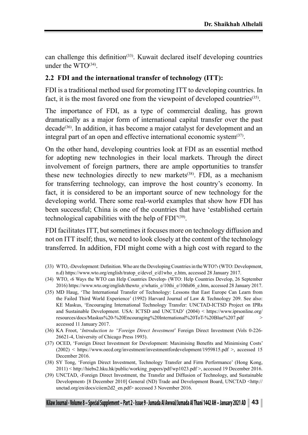can challenge this definition<sup> $(33)$ </sup>. Kuwait declared itself developing countries under the  $WTO^{(34)}$ .

#### **2.2 FDI and the international transfer of technology (ITT):**

FDI is a traditional method used for promoting ITT to developing countries. In fact, it is the most favored one from the viewpoint of developed countries<sup>(35)</sup>.

The importance of FDI, as a type of commercial dealing, has grown dramatically as a major form of international capital transfer over the past  $decade^{(36)}$ . In addition, it has become a major catalyst for development and an integral part of an open and effective international economic system $(37)$ .

On the other hand, developing countries look at FDI as an essential method for adopting new technologies in their local markets. Through the direct involvement of foreign partners, there are ample opportunities to transfer these new technologies directly to new markets<sup> $(38)$ </sup>. FDI, as a mechanism for transferring technology, can improve the host country's economy. In fact, it is considered to be an important source of new technology for the developing world. There some real-world examples that show how FDI has been successful; China is one of the countries that have 'established certain technological capabilities with the help of  $FDI^{\prime(39)}$ .

FDI facilitates ITT, but sometimes it focuses more on technology diffusion and not on ITT itself; thus, we need to look closely at the content of the technology transferred. In addition, FDI might come with a high cost with regard to the

- (33) WTO, ‹Development: Definition. Who are the Developing Countries in the WTO?› (WTO: Development, n.d) https://www.wto.org/english/tratop\_e/devel\_e/d1who\_e.htm, accessed 28 January 2017.
- (34) WTO, ‹6 Ways the WTO can Help Countries Develop› (WTO: Help Countries Develop, 26 September 2016) https://www.wto.org/english/thewto\_e/whatis\_e/10thi\_e/10thi06\_e.htm, accessed 28 January 2017.
- (35) MD Haug, 'The International Transfer of Technology: Lessons that East Europe Can Learn from the Failed Third World Experience' (1992) Harvard Journal of Law & Technology 209. See also: KE Maskus, 'Encouraging International Technology Transfer: UNCTAD-ICTSD Project on IPRs and Sustainable Development. USA: ICTSD and UNCTAD' (2004) < https://www.iprsonline.org/ resources/docs/Maskus%20-%20Encouraging%20International%20ToT-%20Blue%207.pdf > accessed 11 January 2017.
- (36) KA Froot, '*Introduction to "Foreign Direct Investment*' Foreign Direct Investment (Vols 0-226- 26621-4, University of Chicago Press 1993).
- (37) OCED, 'Foreign Direct Investment for Development: Maximising Benefits and Minimising Costs' (2002) < https://www.oecd.org/investment/investmentfordevelopment/1959815.pdf >, accessed 15 December 2016.
- (38) SY Tong, 'Foreign Direct Investment, Technology Transfer and Firm Performance' (Hong Kong, 2011) < http://hiebs2.hku.hk/public/working\_papers/pdf/wp1023.pdf >, accessed 19 December 2016.
- (39) UNCTAD, ‹Foreign Direct Investment, the Transfer and Diffusion of Technology, and Sustainable Development› [8 December 2010] General (ND) Trade and Development Board, UNCTAD <http:// unctad.org/en/docs/ciiem2d2\_en.pdf> accessed 3 November 2016.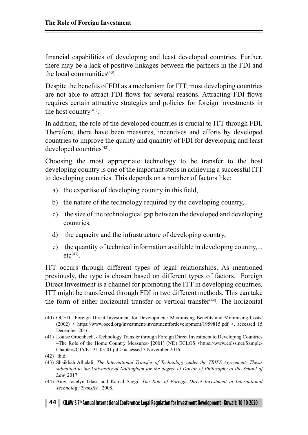financial capabilities of developing and least developed countries. Further, there may be a lack of positive linkages between the partners in the FDI and the local communities(40).

Despite the benefits of FDI as a mechanism for ITT, most developing countries are not able to attract FDI flows for several reasons. Attracting FDI flows requires certain attractive strategies and policies for foreign investments in the host country<sup>(41)</sup>.

In addition, the role of the developed countries is crucial to ITT through FDI. Therefore, there have been measures, incentives and efforts by developed countries to improve the quality and quantity of FDI for developing and least developed countries $(42)$ .

Choosing the most appropriate technology to be transfer to the host developing country is one of the important steps in achieving a successful ITT to developing countries. This depends on a number of factors like:

- a) the expertise of developing country in this field,
- b) the nature of the technology required by the developing country,
- c) the size of the technological gap between the developed and developing countries,
- d) the capacity and the infrastructure of developing country,
- e) the quantity of technical information available in developing country,...  $etc<sup>(43)</sup>$ .

ITT occurs through different types of legal relationships. As mentioned previously, the type is chosen based on different types of factors. Foreign Direct Investment is a channel for promoting the ITT in developing countries. ITT might be transferred through FDI in two different methods. This can take the form of either horizontal transfer or vertical transfer $(44)$ . The horizontal

<sup>(40)</sup> OCED, 'Foreign Direct Investment for Development: Maximising Benefits and Minimising Costs' (2002) < https://www.oecd.org/investment/investmentfordevelopment/1959815.pdf >, accessed 15 December 2016.

<sup>(41)</sup> Louise Groenbech, ‹Technology Transfer through Foreign Direct Investment to Developing Countries –The Role of the Home Country Measures› [2001] (ND) ECLOS <https://www.eolss.net/Sample-Chapters/C15/E1-31-03-01.pdf> accessed 3 November 2016.

<sup>(42)</sup> ibid.

<sup>(43)</sup> Shaikhah Alhelali, *The International Transfer of Technology under the TRIPS Agreement- Thesis submitted to the University of Nottingham for the degree of Doctor of Philosophy at the School of Law,* 2017.

<sup>(44)</sup> Amy Jocelyn Glass and Kamal Saggi, *The Role of Foreign Direct Investment in International Technology Transfer ,* 2008.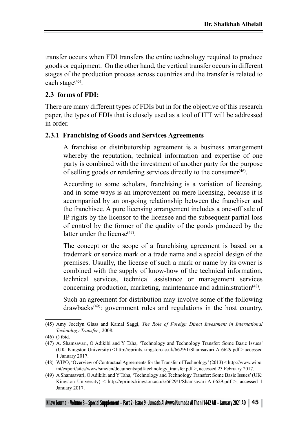transfer occurs when FDI transfers the entire technology required to produce goods or equipment. On the other hand, the vertical transfer occurs in different stages of the production process across countries and the transfer is related to each stage<sup>(45)</sup>.

#### **2.3 forms of FDI:**

There are many different types of FDIs but in for the objective of this research paper, the types of FDIs that is closely used as a tool of ITT will be addressed in order.

#### **2.3.1 Franchising of Goods and Services Agreements**

A franchise or distributorship agreement is a business arrangement whereby the reputation, technical information and expertise of one party is combined with the investment of another party for the purpose of selling goods or rendering services directly to the consumer(46).

According to some scholars, franchising is a variation of licensing, and in some ways is an improvement on mere licensing, because it is accompanied by an on-going relationship between the franchiser and the franchisee. A pure licensing arrangement includes a one-off sale of IP rights by the licensor to the licensee and the subsequent partial loss of control by the former of the quality of the goods produced by the latter under the license $(47)$ .

The concept or the scope of a franchising agreement is based on a trademark or service mark or a trade name and a special design of the premises. Usually, the license of such a mark or name by its owner is combined with the supply of know-how of the technical information, technical services, technical assistance or management services concerning production, marketing, maintenance and administration<sup> $(48)$ </sup>.

Such an agreement for distribution may involve some of the following drawbacks<sup>(49)</sup>: government rules and regulations in the host country,

<sup>(45)</sup> Amy Jocelyn Glass and Kamal Saggi, *The Role of Foreign Direct Investment in International Technology Transfer ,* 2008.

<sup>(46)</sup> () ibid.

<sup>(47)</sup> A. Shamsavari, O Adikibi and Y Taha, 'Technology and Technology Transfer: Some Basic Issues' (UK: Kingston University) < http://eprints.kingston.ac.uk/6629/1/Shamsavari-A-6629.pdf > accessed 1 January 2017.

<sup>(48)</sup> WIPO, 'Overview of Contractual Agreements for the Transfer of Technology' (2013) < http://www.wipo. int/export/sites/www/sme/en/documents/pdf/technology\_transfer.pdf >, accessed 23 February 2017.

<sup>(49)</sup> A Shamsavari, O Adikibi and Y Taha, 'Technology and Technology Transfer: Some Basic Issues' (UK: Kingston University) < http://eprints.kingston.ac.uk/6629/1/Shamsavari-A-6629.pdf >, accessed 1 January 2017.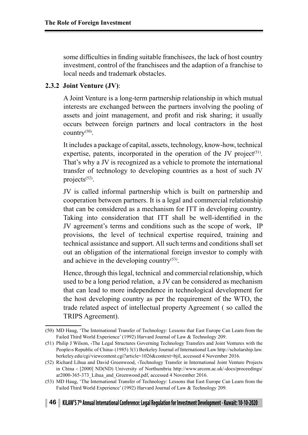some difficulties in finding suitable franchisees, the lack of host country investment, control of the franchisees and the adaption of a franchise to local needs and trademark obstacles.

## **2.3.2 Joint Venture (JV)**:

A Joint Venture is a long-term partnership relationship in which mutual interests are exchanged between the partners involving the pooling of assets and joint management, and profit and risk sharing; it usually occurs between foreign partners and local contractors in the host country $^{(50)}$ .

It includes a package of capital, assets, technology, know-how, technical expertise, patents, incorporated in the operation of the JV project<sup> $(51)$ </sup>. That's why a JV is recognized as a vehicle to promote the international transfer of technology to developing countries as a host of such JV projects<sup>(52)</sup>.

JV is called informal partnership which is built on partnership and cooperation between partners. It is a legal and commercial relationship that can be considered as a mechanism for ITT in developing country. Taking into consideration that ITT shall be well-identified in the JV agreement's terms and conditions such as the scope of work, IP provisions, the level of technical expertise required, training and technical assistance and support. All such terms and conditions shall set out an obligation of the international foreign investor to comply with and achieve in the developing country $(53)$ .

Hence, through this legal, technical and commercial relationship, which used to be a long period relation, a JV can be considered as mechanism that can lead to more independence in technological development for the host developing country as per the requirement of the WTO, the trade related aspect of intellectual property Agreement ( so called the TRIPS Agreement).

<sup>(50)</sup> MD Haug, 'The International Transfer of Technology: Lessons that East Europe Can Learn from the Failed Third World Experience' (1992) Harvard Journal of Law & Technology 209.

<sup>(51)</sup> Philip J Wilson, ‹The Legal Structures Governing Technology Transfers and Joint Ventures with the People›s Republic of China› (1985) 3(1) Berkeley Journal of International Law http://scholarship.law. berkeley.edu/cgi/viewcontent.cgi?article=1026&context=bjil, accessed 4 November 2016.

<sup>(52)</sup> Richard Lihua and David Greenwood, ‹Technology Transfer in International Joint Venture Projects in China ‹ [2000] ND(ND) University of Northumbria http://www.arcom.ac.uk/-docs/proceedings/ ar2000-365-373\_Lihua\_and\_Greenwood.pdf, accessed 4 November 2016.

<sup>(53)</sup> MD Haug, 'The International Transfer of Technology: Lessons that East Europe Can Learn from the Failed Third World Experience' (1992) Harvard Journal of Law & Technology 209.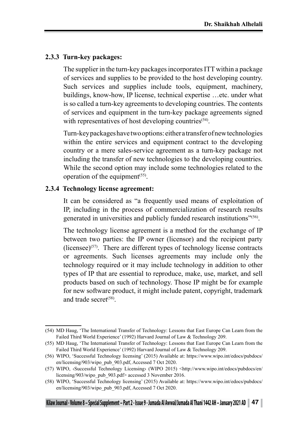### **2.3.3 Turn-key packages:**

The supplier in the turn-key packages incorporates ITT within a package of services and supplies to be provided to the host developing country. Such services and supplies include tools, equipment, machinery, buildings, know-how, IP license, technical expertise …etc. under what is so called a turn-key agreements to developing countries. The contents of services and equipment in the turn-key package agreements signed with representatives of host developing countries<sup>(54)</sup>.

Turn-key packages have two options: either a transfer of new technologies within the entire services and equipment contract to the developing country or a mere sales-service agreement as a turn-key package not including the transfer of new technologies to the developing countries. While the second option may include some technologies related to the operation of the equipment<sup> $(55)$ </sup>.

#### **2.3.4 Technology license agreement:**

It can be considered as "a frequently used means of exploitation of IP, including in the process of commercialization of research results generated in universities and publicly funded research institutions"(56).

The technology license agreement is a method for the exchange of IP between two parties: the IP owner (licensor) and the recipient party (licensee)<sup> $(57)$ </sup>. There are different types of technology license contracts or agreements. Such licenses agreements may include only the technology required or it may include technology in addition to other types of IP that are essential to reproduce, make, use, market, and sell products based on such of technology. Those IP might be for example for new software product, it might include patent, copyright, trademark and trade secret<sup>(58)</sup>.

<sup>(54)</sup> MD Haug, 'The International Transfer of Technology: Lessons that East Europe Can Learn from the Failed Third World Experience' (1992) Harvard Journal of Law & Technology 209.

<sup>(55)</sup> MD Haug, 'The International Transfer of Technology: Lessons that East Europe Can Learn from the Failed Third World Experience' (1992) Harvard Journal of Law & Technology 209.

<sup>(56)</sup> WIPO, 'Successful Technology licensing' (2015) Available at: https://www.wipo.int/edocs/pubdocs/ en/licensing/903/wipo\_pub\_903.pdf, Accessed 7 Oct 2020.

<sup>(57)</sup> WIPO, ‹Successful Technology Licensing› (WIPO 2015) <http://www.wipo.int/edocs/pubdocs/en/ licensing/903/wipo\_pub\_903.pdf> accessed 3 November 2016.

<sup>(58)</sup> WIPO, 'Successful Technology licensing' (2015) Available at: https://www.wipo.int/edocs/pubdocs/ en/licensing/903/wipo\_pub\_903.pdf, Accessed 7 Oct 2020.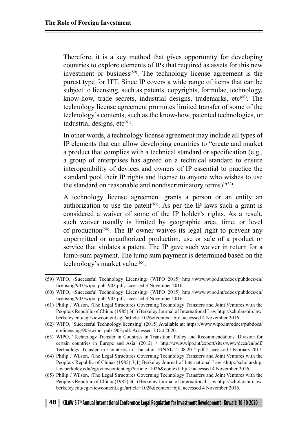Therefore, it is a key method that gives opportunity for developing countries to explore elements of IPs that required as assets for this new investment or business<sup>(59)</sup>. The technology license agreement is the purest type for ITT. Since IP covers a wide range of items that can be subject to licensing, such as patents, copyrights, formulae, technology, know-how, trade secrets, industrial designs, trademarks, etc<sup>(60)</sup>. The technology license agreement promotes limited transfer of some of the technology's contents, such as the know-how, patented technologies, or industrial designs,  $etc<sup>(61)</sup>$ .

In other words, a technology license agreement may include all types of IP elements that can allow developing countries to "create and market a product that complies with a technical standard or specification (e.g., a group of enterprises has agreed on a technical standard to ensure interoperability of devices and owners of IP essential to practice the standard pool their IP rights and license to anyone who wishes to use the standard on reasonable and nondiscriminatory terms)"(62).

A technology license agreement grants a person or an entity an authorization to use the patent<sup> $(63)$ </sup>. As per the IP laws such a grant is considered a waiver of some of the IP holder's rights. As a result, such waiver usually is limited by geographic area, time, or level of production<sup> $(64)$ </sup>. The IP owner waives its legal right to prevent any unpermitted or unauthorized production, use or sale of a product or service that violates a patent. The IP gave such waiver in return for a lump-sum payment. The lump sum payment is determined based on the technology's market value<sup>(65)</sup>.

<sup>(59)</sup> WIPO, ‹Successful Technology Licensing› (WIPO 2015) http://www.wipo.int/edocs/pubdocs/en/ licensing/903/wipo\_pub\_903.pdf, accessed 3 November 2016.

<sup>(60)</sup> WIPO, ‹Successful Technology Licensing› (WIPO 2015) http://www.wipo.int/edocs/pubdocs/en/ licensing/903/wipo\_pub\_903.pdf, accessed 3 November 2016.

<sup>(61)</sup> Philip J Wilson, ‹The Legal Structures Governing Technology Transfers and Joint Ventures with the People›s Republic of China› (1985) 3(1) Berkeley Journal of International Law http://scholarship.law. berkeley.edu/cgi/viewcontent.cgi?article=1026&context=bjil, accessed 4 November 2016.

<sup>(62)</sup> WIPO, 'Successful Technology licensing' (2015) Available at: https://www.wipo.int/edocs/pubdocs/ en/licensing/903/wipo\_pub\_903.pdf, Accessed 7 Oct 2020.

<sup>(63)</sup> WIPO, 'Technology Transfer in Countries in Transition: Policy and Recommendations. Division for certain countries in Europe and Asia' (2012) < http://www.wipo.int/export/sites/www/dcea/en/pdf/ Technology\_Transfer\_in\_Countries\_in\_Transition\_FINAL-21.08.2012.pdf >, accessed 1 February 2017.

<sup>(64)</sup> Philip J Wilson, ‹The Legal Structures Governing Technology Transfers and Joint Ventures with the Peopleys Republic of China> (1985) 3(1) Berkeley Journal of International Law <http://scholarship. law.berkeley.edu/cgi/viewcontent.cgi?article=1026&context=bjil> accessed 4 November 2016.

<sup>(65)</sup> Philip J Wilson, ‹The Legal Structures Governing Technology Transfers and Joint Ventures with the People›s Republic of China› (1985) 3(1) Berkeley Journal of International Law http://scholarship.law. berkeley.edu/cgi/viewcontent.cgi?article=1026&context=bjil, accessed 4 November 2016.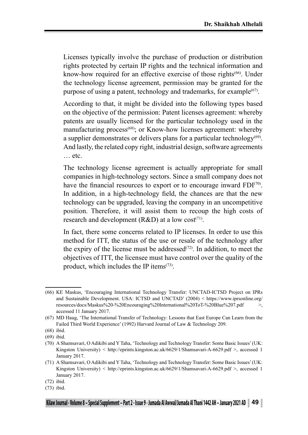Licenses typically involve the purchase of production or distribution rights protected by certain IP rights and the technical information and know-how required for an effective exercise of those rights<sup>(66)</sup>. Under the technology license agreement, permission may be granted for the purpose of using a patent, technology and trademarks, for example<sup>(67)</sup>.

According to that, it might be divided into the following types based on the objective of the permission: Patent licenses agreement: whereby patents are usually licensed for the particular technology used in the manufacturing process<sup>(68)</sup>; or Know-how licenses agreement: whereby a supplier demonstrates or delivers plans for a particular technology<sup> $(69)$ </sup>. And lastly, the related copy right, industrial design, software agreements … etc.

The technology license agreement is actually appropriate for small companies in high-technology sectors. Since a small company does not have the financial resources to export or to encourage inward FDI<sup>(70)</sup>. In addition, in a high-technology field, the chances are that the new technology can be upgraded, leaving the company in an uncompetitive position. Therefore, it will assist them to recoup the high costs of research and development ( $R&D$ ) at a low cost<sup>(71)</sup>.

In fact, there some concerns related to IP licenses. In order to use this method for ITT, the status of the use or resale of the technology after the expiry of the license must be addressed $(72)$ . In addition, to meet the objectives of ITT, the licensee must have control over the quality of the product, which includes the IP items $(73)$ .

<sup>(66)</sup> KE Maskus, 'Encouraging International Technology Transfer: UNCTAD-ICTSD Project on IPRs and Sustainable Development. USA: ICTSD and UNCTAD' (2004) < https://www.iprsonline.org/ resources/docs/Maskus%20-%20Encouraging%20International%20ToT-%20Blue%207.pdf >, accessed 11 January 2017.

<sup>(67)</sup> MD Haug, 'The International Transfer of Technology: Lessons that East Europe Can Learn from the Failed Third World Experience' (1992) Harvard Journal of Law & Technology 209.

<sup>(68)</sup> ibid.

<sup>(69)</sup> ibid.

<sup>(70)</sup> A Shamsavari, O Adikibi and Y Taha, 'Technology and Technology Transfer: Some Basic Issues' (UK: Kingston University) < http://eprints.kingston.ac.uk/6629/1/Shamsavari-A-6629.pdf >, accessed 1 January 2017.

<sup>(71)</sup> A Shamsavari, O Adikibi and Y Taha, 'Technology and Technology Transfer: Some Basic Issues' (UK: Kingston University) < http://eprints.kingston.ac.uk/6629/1/Shamsavari-A-6629.pdf >, accessed 1 January 2017.

<sup>(72)</sup> ibid.

<sup>(73)</sup> ibid.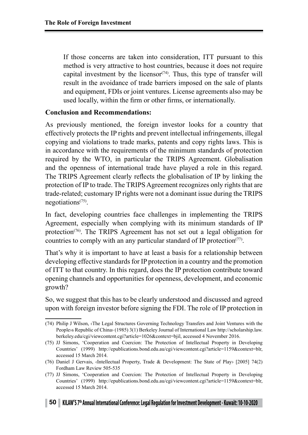If those concerns are taken into consideration, ITT pursuant to this method is very attractive to host countries, because it does not require capital investment by the licensor<sup> $(74)$ </sup>. Thus, this type of transfer will result in the avoidance of trade barriers imposed on the sale of plants and equipment, FDIs or joint ventures. License agreements also may be used locally, within the firm or other firms, or internationally.

#### **Conclusion and Recommendations:**

As previously mentioned, the foreign investor looks for a country that effectively protects the IP rights and prevent intellectual infringements, illegal copying and violations to trade marks, patents and copy rights laws. This is in accordance with the requirements of the minimum standards of protection required by the WTO, in particular the TRIPS Agreement. Globalisation and the openness of international trade have played a role in this regard. The TRIPS Agreement clearly reflects the globalisation of IP by linking the protection of IP to trade. The TRIPS Agreement recognizes only rights that are trade-related; customary IP rights were not a dominant issue during the TRIPS negotiations(75).

In fact, developing countries face challenges in implementing the TRIPS Agreement, especially when complying with its minimum standards of IP protection<sup>(76)</sup>. The TRIPS Agreement has not set out a legal obligation for countries to comply with an any particular standard of IP protection<sup> $(77)$ </sup>.

That's why it is important to have at least a basis for a relationship between developing effective standards for IP protection in a country and the promotion of ITT to that country. In this regard, does the IP protection contribute toward opening channels and opportunities for openness, development, and economic growth?

So, we suggest that this has to be clearly understood and discussed and agreed upon with foreign investor before signing the FDI. The role of IP protection in

<sup>(74)</sup> Philip J Wilson, ‹The Legal Structures Governing Technology Transfers and Joint Ventures with the People›s Republic of China› (1985) 3(1) Berkeley Journal of International Law http://scholarship.law. berkeley.edu/cgi/viewcontent.cgi?article=1026&context=bjil, accessed 4 November 2016.

<sup>(75)</sup> JJ Simons, 'Cooperation and Coercion: The Protection of Intellectual Property in Developing Countries' (1999) http://epublications.bond.edu.au/cgi/viewcontent.cgi?article=1159&context=blr, accessed 15 March 2014.

<sup>(76)</sup> Daniel J Gervais, ‹Intellectual Property, Trade & Development: The State of Play› [2005] 74(2) Fordham Law Review 505-535

<sup>(77)</sup> JJ Simons, 'Cooperation and Coercion: The Protection of Intellectual Property in Developing Countries' (1999) http://epublications.bond.edu.au/cgi/viewcontent.cgi?article=1159&context=blr, accessed 15 March 2014.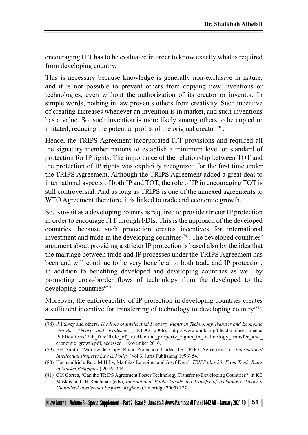encouraging ITT has to be evaluated in order to know exactly what is required from developing country.

This is necessary because knowledge is generally non-exclusive in nature, and it is not possible to prevent others from copying new inventions or technologies, even without the authorization of its creator or inventor. In simple words, nothing in law prevents others from creativity. Such incentive of creating increases whenever an invention is in market, and such inventions has a value. So, such invention is more likely among others to be copied or imitated, reducing the potential profits of the original creator<sup> $(78)$ </sup>.

Hence, the TRIPS Agreement incorporated ITT provisions and required all the signatory member nations to establish a minimum level or standard of protection for IP rights. The importance of the relationship between TOT and the protection of IP rights was explicitly recognized for the first time under the TRIPS Agreement. Although the TRIPS Agreement added a great deal to international aspects of both IP and TOT, the role of IP in encouraging TOT is still controversial. And as long as TRIPS is one of the annexed agreements to WTO Agreement therefore, it is linked to trade and economic growth.

So, Kuwait as a developing country is required to provide stricter IP protection in order to encourage ITT through FDIs. This is the approach of the developed countries, because such protection creates incentives for international investment and trade in the developing countries<sup>(79)</sup>. The developed countries' argument about providing a stricter IP protection is based also by the idea that the marriage between trade and IP processes under the TRIPS Agreement has been and will continue to be very beneficial to both trade and IP protection, in addition to benefiting developed and developing countries as well by promoting cross-border flows of technology from the developed to the developing countries<sup>(80)</sup>.

Moreover, the enforceability of IP protection in developing countries creates a sufficient incentive for transferring of technology to developing country(81).

<sup>(78)</sup> R Falvey and others, *The Role of Intellectual Property Rights in Technology Transfer and Economic Growth: Theory and Evidence* (UNIDO 2006). http://www.unido.org/fileadmin/user\_media/ Publications/Pub\_free/Role\_of\_intellectual\_property\_rights\_in\_technology\_transfer\_and economic\_growth.pdf, accessed 1 November 2016.

<sup>(79)</sup> EH Smith, 'Worldwide Copy Right Protection Under the TRIPS Agreement' in *International Intellectual Property Law & Policy* (Vol 3, Juris Publishing 1998) 54.

<sup>(80)</sup> Hanns ullrich, Reto M Hilty, Matthias Lamping, and Josef Drexl, *TRIPS plus 20: From Trade Rules to Market Principles* ( 2016) 344.

<sup>(81)</sup> CM Correa, 'Can the TRIPS Agreement Foster Technology Transfer to Developing Countries?' in KE Maskus and JH Reichman (eds), *International Public Goods and Transfer of Technology: Under a Globalized Intellectual Property Regime* (Cambridge 2005) 227.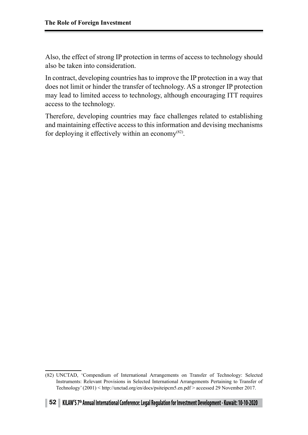Also, the effect of strong IP protection in terms of access to technology should also be taken into consideration.

In contract, developing countries has to improve the IP protection in a way that does not limit or hinder the transfer of technology. AS a stronger IP protection may lead to limited access to technology, although encouraging ITT requires access to the technology.

Therefore, developing countries may face challenges related to establishing and maintaining effective access to this information and devising mechanisms for deploying it effectively within an economy $(82)$ .

<sup>(82)</sup> UNCTAD, 'Compendium of International Arrangements on Transfer of Technology: Selected Instruments: Relevant Provisions in Selected International Arrangements Pertaining to Transfer of Technology' (2001) < http://unctad.org/en/docs/psiteipcm5.en.pdf > accessed 29 November 2017.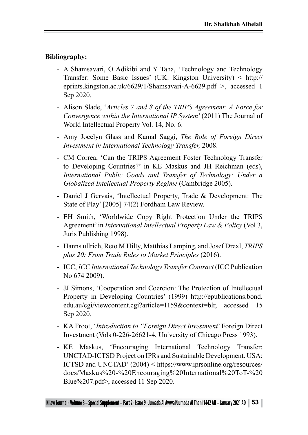## **Bibliography:**

- A Shamsavari, O Adikibi and Y Taha, 'Technology and Technology Transfer: Some Basic Issues' (UK: Kingston University) < http:// eprints.kingston.ac.uk/6629/1/Shamsavari-A-6629.pdf >, accessed 1 Sep 2020.
- Alison Slade, '*Articles 7 and 8 of the TRIPS Agreement: A Force for Convergence within the International IP System*' (2011) The Journal of World Intellectual Property Vol. 14, No. 6.
- Amy Jocelyn Glass and Kamal Saggi, *The Role of Foreign Direct Investment in International Technology Transfer,* 2008.
- CM Correa, 'Can the TRIPS Agreement Foster Technology Transfer to Developing Countries?' in KE Maskus and JH Reichman (eds), *International Public Goods and Transfer of Technology: Under a Globalized Intellectual Property Regime* (Cambridge 2005).
- Daniel J Gervais, 'Intellectual Property, Trade & Development: The State of Play' [2005] 74(2) Fordham Law Review.
- EH Smith, 'Worldwide Copy Right Protection Under the TRIPS Agreement' in *International Intellectual Property Law & Policy* (Vol 3, Juris Publishing 1998).
- Hanns ullrich, Reto M Hilty, Matthias Lamping, and Josef Drexl, *TRIPS plus 20: From Trade Rules to Market Principles* (2016).
- ICC, *ICC International Technology Transfer Contract* (ICC Publication No 674 2009).
- JJ Simons, 'Cooperation and Coercion: The Protection of Intellectual Property in Developing Countries' (1999) http://epublications.bond. edu.au/cgi/viewcontent.cgi?article=1159&context=blr, accessed 15 Sep 2020.
- KA Froot, '*Introduction to "Foreign Direct Investment*' Foreign Direct Investment (Vols 0-226-26621-4, University of Chicago Press 1993).
- KE Maskus, 'Encouraging International Technology Transfer: UNCTAD-ICTSD Project on IPRs and Sustainable Development. USA: ICTSD and UNCTAD' (2004) < https://www.iprsonline.org/resources/ docs/Maskus%20-%20Encouraging%20International%20ToT-%20 Blue%207.pdf>, accessed 11 Sep 2020.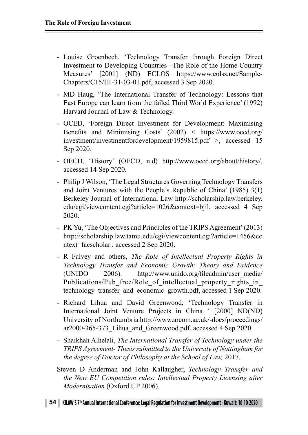- Louise Groenbech, 'Technology Transfer through Foreign Direct Investment to Developing Countries –The Role of the Home Country Measures' [2001] (ND) ECLOS https://www.eolss.net/Sample-Chapters/C15/E1-31-03-01.pdf, accessed 3 Sep 2020.
- MD Haug, 'The International Transfer of Technology: Lessons that East Europe can learn from the failed Third World Experience' (1992) Harvard Journal of Law & Technology.
- OCED, 'Foreign Direct Investment for Development: Maximising Benefits and Minimising Costs' (2002) < https://www.oecd.org/ investment/investmentfordevelopment/1959815.pdf >, accessed 15 Sep 2020.
- OECD, 'History' (OECD, n.d) http://www.oecd.org/about/history/, accessed 14 Sep 2020.
- Philip J Wilson, 'The Legal Structures Governing Technology Transfers and Joint Ventures with the People's Republic of China' (1985) 3(1) Berkeley Journal of International Law http://scholarship.law.berkeley. edu/cgi/viewcontent.cgi?article=1026&context=bjil, accessed 4 Sep 2020.
- PK Yu, 'The Objectives and Principles of the TRIPS Agreement' (2013) http://scholarship.law.tamu.edu/cgi/viewcontent.cgi?article=1456&co ntext=facscholar , accessed 2 Sep 2020.
- R Falvey and others, *The Role of Intellectual Property Rights in Technology Transfer and Economic Growth: Theory and Evidence* (UNIDO 2006). http://www.unido.org/fileadmin/user\_media/ Publications/Pub free/Role of intellectual property rights in technology transfer and economic growth.pdf, accessed 1 Sep 2020.
- Richard Lihua and David Greenwood, 'Technology Transfer in International Joint Venture Projects in China ' [2000] ND(ND) University of Northumbria http://www.arcom.ac.uk/-docs/proceedings/ ar2000-365-373\_Lihua\_and\_Greenwood.pdf, accessed 4 Sep 2020.
- Shaikhah Alhelali, *The International Transfer of Technology under the TRIPS Agreement- Thesis submitted to the University of Nottingham for the degree of Doctor of Philosophy at the School of Law,* 2017.
- Steven D Anderman and John Kallaugher, *Technology Transfer and the New EU Competition rules: Intellectual Property Licensing after Modernisation* (Oxford UP 2006).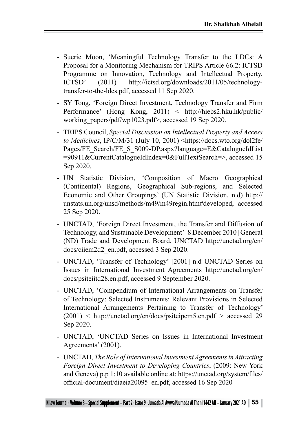- Suerie Moon, 'Meaningful Technology Transfer to the LDCs: A Proposal for a Monitoring Mechanism for TRIPS Article 66.2: ICTSD Programme on Innovation, Technology and Intellectual Property. ICTSD' (2011) http://ictsd.org/downloads/2011/05/technologytransfer-to-the-ldcs.pdf, accessed 11 Sep 2020.
- SY Tong, 'Foreign Direct Investment, Technology Transfer and Firm Performance' (Hong Kong, 2011) < http://hiebs2.hku.hk/public/ working\_papers/pdf/wp1023.pdf>, accessed 19 Sep 2020.
- TRIPS Council, *Special Discussion on Intellectual Property and Access to Medicines*, IP/C/M/31 (July 10, 2001) <https://docs.wto.org/dol2fe/ Pages/FE\_Search/FE\_S\_S009-DP.aspx?language=E&CatalogueIdList =90911&CurrentCatalogueIdIndex=0&FullTextSearch=>, accessed 15 Sep 2020.
- UN Statistic Division, 'Composition of Macro Geographical (Continental) Regions, Geographical Sub-regions, and Selected Economic and Other Groupings' (UN Statistic Division, n.d) http:// unstats.un.org/unsd/methods/m49/m49regin.htm#developed, accessed 25 Sep 2020.
- UNCTAD, 'Foreign Direct Investment, the Transfer and Diffusion of Technology, and Sustainable Development' [8 December 2010] General (ND) Trade and Development Board, UNCTAD http://unctad.org/en/ docs/ciiem2d2\_en.pdf, accessed 3 Sep 2020.
- UNCTAD, 'Transfer of Technology' [2001] n.d UNCTAD Series on Issues in International Investment Agreements http://unctad.org/en/ docs/psiteiitd28.en.pdf, accessed 9 September 2020.
- UNCTAD, 'Compendium of International Arrangements on Transfer of Technology: Selected Instruments: Relevant Provisions in Selected International Arrangements Pertaining to Transfer of Technology'  $(2001)$  < http://unctad.org/en/docs/psiteipcm5.en.pdf > accessed 29 Sep 2020.
- UNCTAD, 'UNCTAD Series on Issues in International Investment Agreements' (2001).
- UNCTAD, *The Role of International Investment Agreements in Attracting Foreign Direct Investment to Developing Countries*, (2009: New York and Geneva) p.p 1:10 available online at: https://unctad.org/system/files/ official-document/diaeia20095\_en.pdf, accessed 16 Sep 2020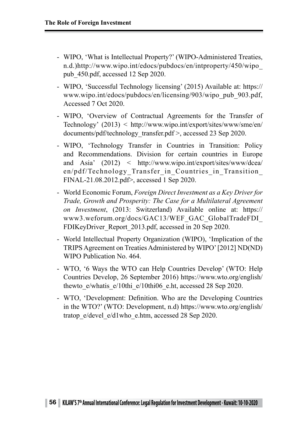- WIPO, 'What is Intellectual Property?' (WIPO-Administered Treaties, n.d.)http://www.wipo.int/edocs/pubdocs/en/intproperty/450/wipo\_ pub\_450.pdf, accessed 12 Sep 2020.
- WIPO, 'Successful Technology licensing' (2015) Available at: https:// www.wipo.int/edocs/pubdocs/en/licensing/903/wipo\_pub\_903.pdf, Accessed 7 Oct 2020.
- WIPO, 'Overview of Contractual Agreements for the Transfer of Technology' (2013) < http://www.wipo.int/export/sites/www/sme/en/ documents/pdf/technology\_transfer.pdf >, accessed 23 Sep 2020.
- WIPO, 'Technology Transfer in Countries in Transition: Policy and Recommendations. Division for certain countries in Europe and Asia' (2012) < http://www.wipo.int/export/sites/www/dcea/ en/pdf/Technology Transfer in Countries in Transition FINAL-21.08.2012.pdf>, accessed 1 Sep 2020.
- World Economic Forum, *Foreign Direct Investment as a Key Driver for Trade, Growth and Prosperity: The Case for a Multilateral Agreement on Investment*, (2013: Switzerland) Available online at: https:// www3.weforum.org/docs/GAC13/WEF\_GAC\_GlobalTradeFDI\_ FDIKeyDriver\_Report\_2013.pdf, accessed in 20 Sep 2020.
- World Intellectual Property Organization (WIPO), 'Implication of the TRIPS Agreement on Treaties Administered by WIPO' [2012] ND(ND) WIPO Publication No. 464.
- WTO, '6 Ways the WTO can Help Countries Develop' (WTO: Help Countries Develop, 26 September 2016) https://www.wto.org/english/ thewto e/whatis e/10thi e/10thi06 e.ht, accessed 28 Sep 2020.
- WTO, 'Development: Definition. Who are the Developing Countries in the WTO?' (WTO: Development, n.d) https://www.wto.org/english/ tratop\_e/devel\_e/d1who\_e.htm, accessed 28 Sep 2020.